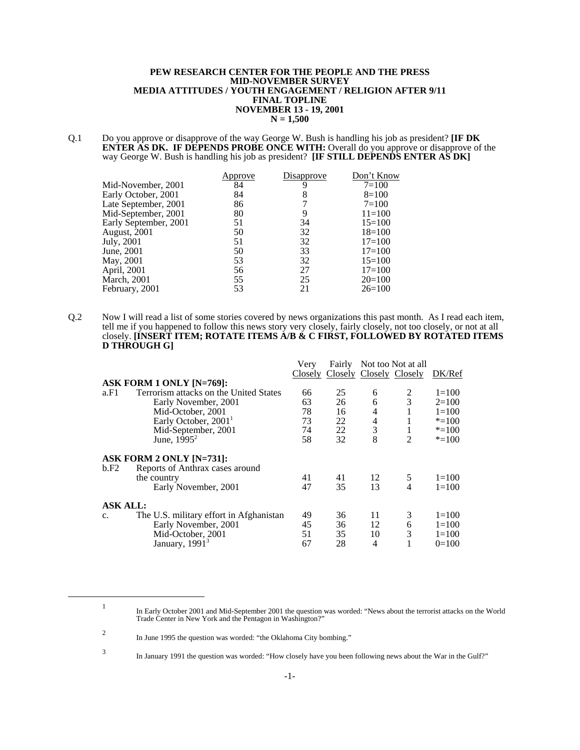#### **PEW RESEARCH CENTER FOR THE PEOPLE AND THE PRESS MID-NOVEMBER SURVEY MEDIA ATTITUDES / YOUTH ENGAGEMENT / RELIGION AFTER 9/11 FINAL TOPLINE NOVEMBER 13 - 19, 2001 N = 1,500**

Q.1 Do you approve or disapprove of the way George W. Bush is handling his job as president? **[IF DK ENTER AS DK. IF DEPENDS PROBE ONCE WITH:** Overall do you approve or disapprove of the way George W. Bush is handling his job as president? **[IF STILL DEPENDS ENTER AS DK]**

| pprove | Disapprove | Don't Know |
|--------|------------|------------|
| 84     |            | $7 = 100$  |
| 84     | 8          | $8=100$    |
| 86     |            | $7 = 100$  |
| 80     |            | $11 = 100$ |
| 51     | 34         | $15 = 100$ |
| 50     | 32         | $18=100$   |
| 51     | 32         | $17 = 100$ |
| 50     | 33         | $17 = 100$ |
| 53     | 32         | $15=100$   |
| 56     | 27         | $17 = 100$ |
| 55     | 25         | $20=100$   |
| 53     | 21         | $26=100$   |
|        |            |            |

Q.2 Now I will read a list of some stories covered by news organizations this past month. As I read each item, tell me if you happened to follow this news story very closely, fairly closely, not too closely, or not at all closely. **[INSERT ITEM; ROTATE ITEMS A/B & C FIRST, FOLLOWED BY ROTATED ITEMS D THROUGH G]**

|                 |                                         | Very | Fairly                          |                          | Not too Not at all |           |
|-----------------|-----------------------------------------|------|---------------------------------|--------------------------|--------------------|-----------|
|                 |                                         |      | Closely Closely Closely Closely |                          |                    | DK/Ref    |
|                 | ASK FORM 1 ONLY [N=769]:                |      |                                 |                          |                    |           |
| a.F1            | Terrorism attacks on the United States  | 66   | 25                              | 6                        | 2                  | $1 = 100$ |
|                 | Early November, 2001                    | 63   | 26                              | 6                        | 3                  | $2=100$   |
|                 | Mid-October, 2001                       | 78   | 16                              | 4                        |                    | $1 = 100$ |
|                 | Early October, 2001 <sup>1</sup>        | 73   | 22                              | $\overline{\mathcal{L}}$ |                    | $* = 100$ |
|                 | Mid-September, 2001                     | 74   | 22                              | 3                        |                    | $* = 100$ |
|                 | June, $1\overline{9}95^2$               | 58   | 32                              | 8                        | $\mathfrak{D}$     | $* = 100$ |
|                 | ASK FORM 2 ONLY [N=731]:                |      |                                 |                          |                    |           |
| b.F2            | Reports of Anthrax cases around         |      |                                 |                          |                    |           |
|                 | the country                             | 41   | 41                              | 12                       | 5                  | $1=100$   |
|                 | Early November, 2001                    | 47   | 35                              | 13                       | 4                  | $1 = 100$ |
| <b>ASK ALL:</b> |                                         |      |                                 |                          |                    |           |
| C <sub>1</sub>  | The U.S. military effort in Afghanistan | 49   | 36                              | 11                       | 3                  | $1 = 100$ |
|                 | Early November, 2001                    | 45   | 36                              | 12                       | 6                  | $1=100$   |
|                 | Mid-October, 2001                       | 51   | 35                              | 10                       | 3                  | $1 = 100$ |
|                 | January, $19913$                        | 67   | 28                              | 4                        |                    | $0=100$   |

<sup>3</sup> In January 1991 the question was worded: "How closely have you been following news about the War in the Gulf?"

In Early October 2001 and Mid-September 2001 the question was worded: "News about the terrorist attacks on the World<br>Trade Center in New York and the Pentagon in Washington?"

<sup>2</sup> In June 1995 the question was worded: "the Oklahoma City bombing."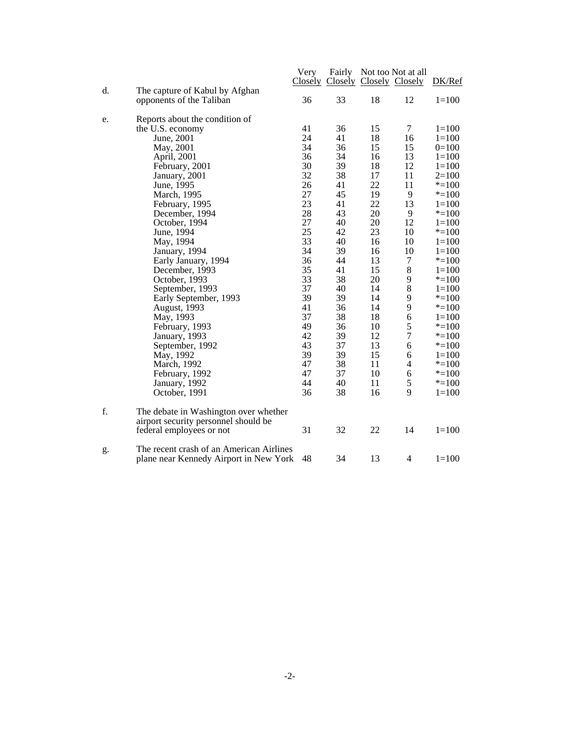|                                                                                          | Very<br>Closely | Fairly |    | Not too Not at all<br>Closely Closely Closely | DK/Ref    |
|------------------------------------------------------------------------------------------|-----------------|--------|----|-----------------------------------------------|-----------|
| d.<br>The capture of Kabul by Afghan<br>opponents of the Taliban                         | 36              | 33     | 18 | 12                                            | $1 = 100$ |
| Reports about the condition of<br>e.                                                     |                 |        |    |                                               |           |
| the U.S. economy                                                                         | 41              | 36     | 15 | 7                                             | $1 = 100$ |
| June, 2001                                                                               | 24              | 41     | 18 | 16                                            | $1 = 100$ |
| May, 2001                                                                                | 34              | 36     | 15 | 15                                            | $0=100$   |
| April, 2001                                                                              | 36              | 34     | 16 | 13                                            | $1 = 100$ |
| February, 2001                                                                           | 30              | 39     | 18 | 12                                            | $1 = 100$ |
| January, 2001                                                                            | 32              | 38     | 17 | 11                                            | $2=100$   |
| June, 1995                                                                               | 26              | 41     | 22 | 11                                            | $* = 100$ |
| March, 1995                                                                              | 27              | 45     | 19 | 9                                             | $* = 100$ |
| February, 1995                                                                           | 23              | 41     | 22 | 13                                            | $1 = 100$ |
| December, 1994                                                                           | 28              | 43     | 20 | 9                                             | $* = 100$ |
| October, 1994                                                                            | 27              | 40     | 20 | 12                                            | $1 = 100$ |
| June, 1994                                                                               | 25              | 42     | 23 | 10                                            | $* = 100$ |
| May, 1994                                                                                | 33              | 40     | 16 | 10                                            | $1 = 100$ |
| January, 1994                                                                            | 34              | 39     | 16 | 10                                            | $1 = 100$ |
| Early January, 1994                                                                      | 36              | 44     | 13 | $\tau$                                        | $* = 100$ |
| December, 1993                                                                           | 35              | 41     | 15 | 8                                             | $1 = 100$ |
| October, 1993                                                                            | 33              | 38     | 20 | 9                                             | $* = 100$ |
| September, 1993                                                                          | 37              | 40     | 14 | 8                                             | $1 = 100$ |
| Early September, 1993                                                                    | 39              | 39     | 14 | 9                                             | $* = 100$ |
| August, 1993                                                                             | 41              | 36     | 14 | 9                                             | $* = 100$ |
| May, 1993                                                                                | 37              | 38     | 18 | 6                                             | $1 = 100$ |
| February, 1993                                                                           | 49              | 36     | 10 | 5                                             | $* = 100$ |
| January, 1993                                                                            | 42              | 39     | 12 | $\overline{7}$                                | $* = 100$ |
| September, 1992                                                                          | 43              | 37     | 13 | 6                                             | $* = 100$ |
| May, 1992                                                                                | 39              | 39     | 15 | 6                                             | $1 = 100$ |
| March, 1992                                                                              | 47              | 38     | 11 | $\overline{4}$                                | $* = 100$ |
| February, 1992                                                                           | 47              | 37     | 10 | 6                                             | $* = 100$ |
| January, 1992                                                                            | 44              | 40     | 11 | 5                                             | $* = 100$ |
| October, 1991                                                                            | 36              | 38     | 16 | 9                                             | $1 = 100$ |
| f.<br>The debate in Washington over whether<br>airport security personnel should be      |                 |        |    |                                               |           |
| federal employees or not                                                                 | 31              | 32     | 22 | 14                                            | $1 = 100$ |
| The recent crash of an American Airlines<br>g.<br>plane near Kennedy Airport in New York | 48              | 34     | 13 | $\overline{4}$                                | $1 = 100$ |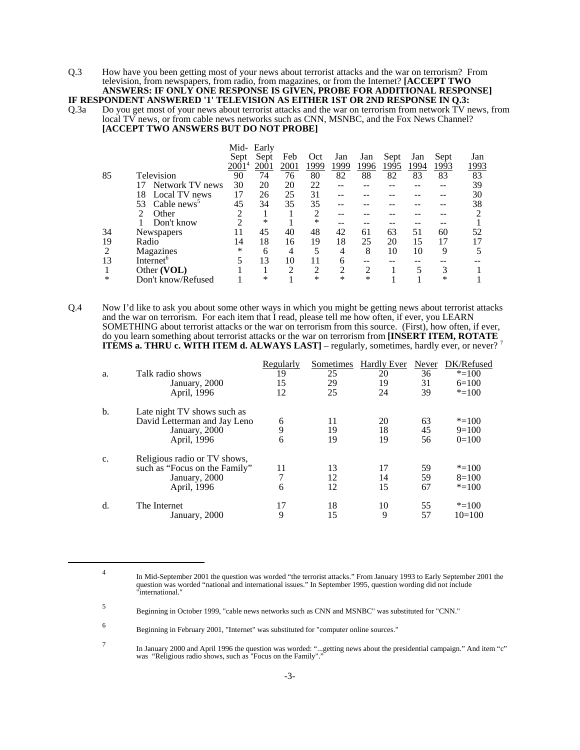Q.3 How have you been getting most of your news about terrorist attacks and the war on terrorism? From television, from newspapers, from radio, from magazines, or from the Internet? **[ACCEPT TWO ANSWERS: IF ONLY ONE RESPONSE IS GIVEN, PROBE FOR ADDITIONAL RESPONSE]**

# **IF RESPONDENT ANSWERED '1' TELEVISION AS EITHER 1ST OR 2ND RESPONSE IN Q.3:**<br>Q.3a Do you get most of your news about terrorist attacks and the war on terrorism from network TV n

Do you get most of your news about terrorist attacks and the war on terrorism from network TV news, from local TV news, or from cable news networks such as CNN, MSNBC, and the Fox News Channel? **[ACCEPT TWO ANSWERS BUT DO NOT PROBE]**

|    |                               |          | Mid- Early |                |                |                |               |      |      |        |      |
|----|-------------------------------|----------|------------|----------------|----------------|----------------|---------------|------|------|--------|------|
|    |                               | Sept     | Sept       | Feb            | Oct            | Jan            | Jan           | Sept | Jan  | Sept   | Jan  |
|    |                               | $2001^4$ | 2001       | 2001           | 1999           | 1999           | 1996          | 1995 | 1994 | 1993   | 1993 |
| 85 | Television                    | 90       | 74         | 76             | 80             | 82             | 88            | 82   | 83   | 83     | 83   |
|    | Network TV news<br>17         | 30       | 20         | 20             | 22             | --             |               |      |      | --     | 39   |
|    | Local TV news<br>18           |          | 26         | 25             | 31             |                |               |      |      |        | 30   |
|    | Cable news <sup>5</sup><br>53 | 45       | 34         | 35             | 35             |                |               |      |      |        | 38   |
|    | Other                         | っ        |            |                | 2              |                |               |      |      |        | ∍    |
|    | Don't know                    |          | ∗          |                | *              |                |               |      |      |        |      |
| 34 | Newspapers                    | 11       | 45         | 40             | 48             | 42             | 61            | 63   | 51   | 60     | 52   |
| 19 | Radio                         | 14       | 18         | 16             | 19             | 18             | 25            | 20   | 15   | 17     |      |
|    | Magazines                     | $\ast$   | 6          | $\overline{4}$ | 5              | 4              | 8             | 10   | 10   | 9      |      |
| 13 | Internet <sup>6</sup>         |          | 13         | 10             | 11             | 6              | --            |      |      |        |      |
|    | Other (VOL)                   |          |            | $\mathcal{D}$  | $\overline{2}$ | $\overline{2}$ | $\mathcal{L}$ |      |      | 3      |      |
| ∗  | Don't know/Refused            |          | ∗          |                | *              | *              | *             |      |      | $\ast$ |      |

Q.4 Now I'd like to ask you about some other ways in which you might be getting news about terrorist attacks and the war on terrorism. For each item that I read, please tell me how often, if ever, you LEARN SOMETHING about terrorist attacks or the war on terrorism from this source. (First), how often, if ever, do you learn something about terrorist attacks or the war on terrorism from **[INSERT ITEM, ROTATE ITEMS a. THRU c. WITH ITEM d. ALWAYS LAST]** – regularly, sometimes, hardly ever, or never?<sup>7</sup>

| a.             | Talk radio shows<br>January, 2000<br>April, 1996                                              | Regularly<br>19<br>15<br>12 | Sometimes<br>25<br>29<br>25 | <b>Hardly Ever</b><br>20<br>19<br>24 | Never<br>36<br>31<br>39 | DK/Refused<br>$* = 100$<br>$6=100$<br>$* = 100$ |
|----------------|-----------------------------------------------------------------------------------------------|-----------------------------|-----------------------------|--------------------------------------|-------------------------|-------------------------------------------------|
| b.             | Late night TV shows such as<br>David Letterman and Jay Leno<br>January, 2000<br>April, 1996   | 6<br>9<br>6                 | 11<br>19<br>19              | 20<br>18<br>19                       | 63<br>45<br>56          | $* = 100$<br>$9=100$<br>$0=100$                 |
| $\mathbf{c}$ . | Religious radio or TV shows,<br>such as "Focus on the Family"<br>January, 2000<br>April, 1996 | 11<br>6                     | 13<br>12<br>12              | 17<br>14<br>15                       | 59<br>59<br>67          | $* = 100$<br>$8=100$<br>$* = 100$               |
| d.             | The Internet<br>January, 2000                                                                 | 17<br>9                     | 18<br>15                    | 10<br>9                              | 55<br>57                | $* = 100$<br>$10=100$                           |

<sup>4</sup> In Mid-September 2001 the question was worded "the terrorist attacks." From January 1993 to Early September 2001 the question was worded "national and international issues." In September 1995, question wording did not include "international."

<sup>5</sup> Beginning in October 1999, "cable news networks such as CNN and MSNBC" was substituted for "CNN."

<sup>6</sup> Beginning in February 2001, "Internet" was substituted for "computer online sources."

In January 2000 and April 1996 the question was worded: "...getting news about the presidential campaign." And item "c" was "Religious radio shows, such as "Focus on the Family"."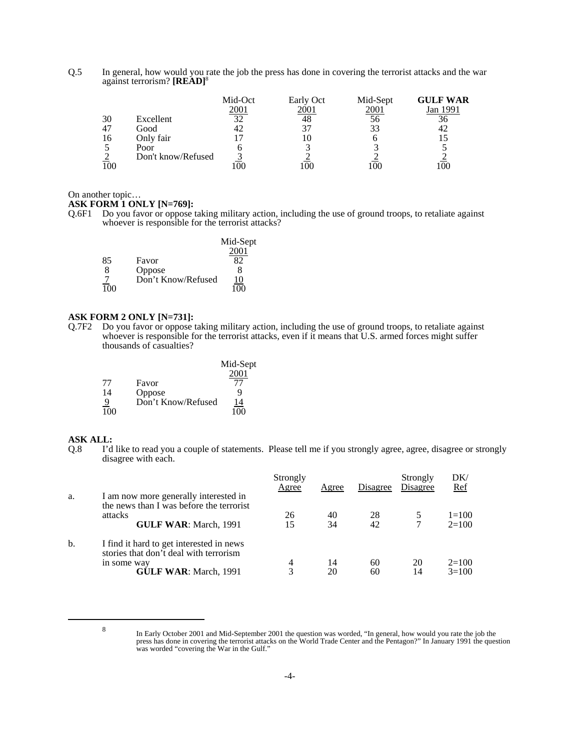Q.5 In general, how would you rate the job the press has done in covering the terrorist attacks and the war against terrorism? **[READ]**<sup>8</sup>

|    |                    | Mid-Oct     | Early Oct | Mid-Sept | <b>GULF WAR</b> |
|----|--------------------|-------------|-----------|----------|-----------------|
|    |                    | <u>2001</u> | 2001      | 2001     | Jan 1991        |
| 30 | Excellent          | 32          | 48        | 56       | 36              |
| 47 | Good               |             |           | 33       | 42              |
| 16 | Only fair          |             |           |          |                 |
|    | Poor               |             |           |          |                 |
|    | Don't know/Refused |             |           |          |                 |
|    |                    | 00          |           |          |                 |

### On another topic…

## **ASK FORM 1 ONLY [N=769]:**

Q.6F1 Do you favor or oppose taking military action, including the use of ground troops, to retaliate against whoever is responsible for the terrorist attacks?

|     |                    | Mid-Sept |
|-----|--------------------|----------|
|     |                    | 2001     |
| 85  | Favor              |          |
| 8   | Oppose             | x        |
|     | Don't Know/Refused | 10       |
| 100 |                    | 100      |

## **ASK FORM 2 ONLY [N=731]:**

Q.7F2 Do you favor or oppose taking military action, including the use of ground troops, to retaliate against whoever is responsible for the terrorist attacks, even if it means that U.S. armed forces might suffer thousands of casualties?

|     |                    | Mid-Sept |
|-----|--------------------|----------|
|     |                    | 2001     |
| 77  | Favor              | 77       |
| 14  | Oppose             | g        |
|     | Don't Know/Refused | 14       |
| 100 |                    | 100      |

## **ASK ALL:**

Q.8 I'd like to read you a couple of statements. Please tell me if you strongly agree, agree, disagree or strongly disagree with each.

|    |                                                                                    | Strongly<br>Agree | Agree | Disagree | Strongly<br>Disagree | DK/<br>Ref |
|----|------------------------------------------------------------------------------------|-------------------|-------|----------|----------------------|------------|
| a. | I am now more generally interested in<br>the news than I was before the terrorist  |                   |       |          |                      |            |
|    | attacks                                                                            | 26                | 40    | 28       |                      | $1 = 100$  |
|    | <b>GULF WAR: March, 1991</b>                                                       | 15                | 34    | 42       |                      | $2=100$    |
| b. | I find it hard to get interested in news<br>stories that don't deal with terrorism |                   |       |          |                      |            |
|    | in some way                                                                        | 4                 | 14    | 60       | 20                   | $2=100$    |
|    | <b>GULF WAR: March, 1991</b>                                                       | 3                 | 20    | 60       | 14                   | $3=100$    |

<sup>&</sup>lt;sup>8</sup> In Early October 2001 and Mid-September 2001 the question was worded, "In general, how would you rate the job the press has done in covering the terrorist attacks on the World Trade Center and the Pentagon?" In January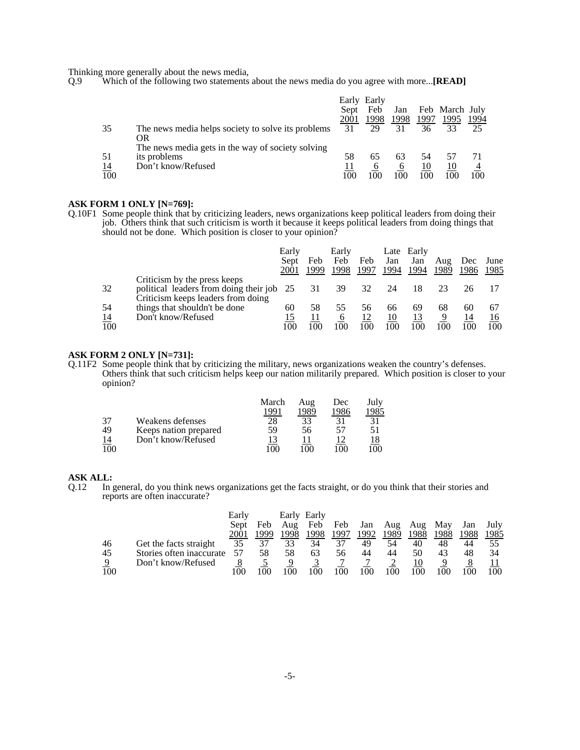Thinking more generally about the news media,<br>Q.9 Which of the following two statements

Which of the following two statements about the news media do you agree with more...**[READ]** 

|            |                                                          | Early | Early |      |      |                |      |
|------------|----------------------------------------------------------|-------|-------|------|------|----------------|------|
|            |                                                          | Sept  | Feb   | Jan  |      | Feb March July |      |
|            |                                                          | 2001  | 1998  | 1998 | 1997 | 1995           | 1994 |
| 35         | The news media helps society to solve its problems<br>OR | 31    | 29    | 31   | 36   | 33             | 25   |
|            | The news media gets in the way of society solving        |       |       |      |      |                |      |
| 51         | its problems                                             | 58    | 65    | 63   | 54   |                |      |
| <u> 14</u> | Don't know/Refused                                       |       | O     | O    | 10   | 10             |      |
| 100        |                                                          | 100   |       | 100  |      | 100            | 100  |

### **ASK FORM 1 ONLY [N=769]:**

Q.10F1 Some people think that by criticizing leaders, news organizations keep political leaders from doing their job. Others think that such criticism is worth it because it keeps political leaders from doing things that should not be done. Which position is closer to your opinion?

|           |                                           | Early |      | Early |      |      | Late Early |                |      |      |
|-----------|-------------------------------------------|-------|------|-------|------|------|------------|----------------|------|------|
|           |                                           | Sept  | Feb  | Feb   | Feb  | Jan  | Jan        | Aug            | Dec  | June |
|           |                                           | 2001  | 1999 | 1998  | 1997 | 1994 | 1994       | 1989           | 1986 | 1985 |
|           | Criticism by the press keeps              |       |      |       |      |      |            |                |      |      |
| 32        | political leaders from doing their job 25 |       | 31   | 39    | 32   | 24   | 18         |                |      |      |
|           | Criticism keeps leaders from doing        |       |      |       |      |      |            |                |      |      |
| 54        | things that shouldn't be done             | 60    | 58   | 55    | 56.  | 66   | 69         | 68             | 60   | 67   |
| <u>14</u> | Don't know/Refused                        |       |      | O     |      | 10   |            |                | 14   | 16   |
| 100       |                                           | 100   | 100  | 100   | 100  | 100  | 100        | 0 <sup>0</sup> | 100  | 100  |

## **ASK FORM 2 ONLY [N=731]:**

Q.11F2 Some people think that by criticizing the military, news organizations weaken the country's defenses. Others think that such criticism helps keep our nation militarily prepared. Which position is closer to your opinion?

|           |                       | March | Aug  | Dec  | July |
|-----------|-----------------------|-------|------|------|------|
|           |                       | 1991  | 1989 | 1986 | 1985 |
| 37        | Weakens defenses      | 28    | 33   |      | 31   |
| 49        | Keeps nation prepared | 59    | 56   |      | 51   |
| <u>14</u> | Don't know/Refused    |       |      |      |      |
| 100       |                       | ഥ വ   | ۱M   |      | 100  |

#### **ASK ALL:**

Q.12 In general, do you think news organizations get the facts straight, or do you think that their stories and reports are often inaccurate?

|     |                          | Early |      | Early | Early |      |      |      |      |      |      |      |
|-----|--------------------------|-------|------|-------|-------|------|------|------|------|------|------|------|
|     |                          | Sept  | Feb  | Aug   | Feb   | Feb  | Jan  | Aug  | Aug  | May  | Jan  | July |
|     |                          | 2001  | 1999 | 1998  | 1998  | 1997 | 1992 | 1989 | 1988 | 1988 | 1988 | 1985 |
| 46  | Get the facts straight   | 35    | 37   | 33    | 34    | 37   | 49   | 54   | 40   | 48   | 44   |      |
| 45  | Stories often inaccurate | 57    | 58   | 58    | 63    | 56   | 44   | 44   | 50   | 43   | 48   | 34   |
| 9   | Don't know/Refused       |       |      |       |       |      |      |      | 10   |      |      |      |
| 100 |                          | 00    | 00   | 100   | 100   | 00   | 100  | 100  | 100  | 00   |      | 100  |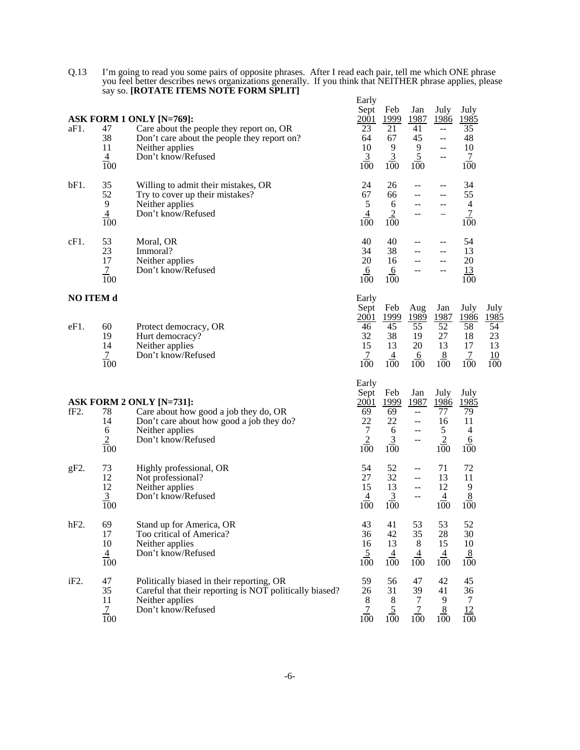| 0.13 | I'm going to read you some pairs of opposite phrases. After I read each pair, tell me which ONE phrase   |       |
|------|----------------------------------------------------------------------------------------------------------|-------|
|      | you feel better describes news organizations generally. If you think that NEITHER phrase applies, please |       |
|      | say so. [ROTATE ITEMS NOTE FORM SPLIT]                                                                   |       |
|      |                                                                                                          | Early |

|                          |                                                                  |                                                                                                                                                              | <b>Larry</b><br>Sept                                           | Feb                                                                  | Jan                                                                  | July                                                                                    | July                                                    |                                                                 |
|--------------------------|------------------------------------------------------------------|--------------------------------------------------------------------------------------------------------------------------------------------------------------|----------------------------------------------------------------|----------------------------------------------------------------------|----------------------------------------------------------------------|-----------------------------------------------------------------------------------------|---------------------------------------------------------|-----------------------------------------------------------------|
| aF1.                     | 47<br>38<br>11<br>$\frac{4}{100}$                                | ASK FORM 1 ONLY [N=769]:<br>Care about the people they report on, OR<br>Don't care about the people they report on?<br>Neither applies<br>Don't know/Refused | <u>2001</u><br>23<br>64<br>10<br>$\overline{3}$<br>100         | <u> 1999</u><br>21<br>67<br>9<br>$\overline{3}$<br>100               | 1987<br>41<br>45<br>9<br>$\overline{5}$<br>100                       | <u>1986</u><br>$\overline{a}$<br>--<br>$\mathrel{{-}\mathrel{{-}}\mathrel{{-}}}$<br>$-$ | <u> 1985</u><br>35<br>48<br>10<br>$\overline{1}$<br>100 |                                                                 |
| bF1.                     | 35<br>52<br>$\overline{9}$<br>$\overline{4}$<br>$\overline{100}$ | Willing to admit their mistakes, OR<br>Try to cover up their mistakes?<br>Neither applies<br>Don't know/Refused                                              | 24<br>67<br>$\sqrt{5}$<br>$\overline{4}$<br>100                | 26<br>66<br>6<br>$\overline{2}$<br>100                               | --                                                                   | $-$<br>--<br>--<br>-                                                                    | 34<br>55<br>$\overline{4}$<br>$\overline{7}$<br>100     |                                                                 |
| $cF1$ .                  | 53<br>23<br>17<br>$\overline{7}$<br>100                          | Moral, OR<br>Immoral?<br>Neither applies<br>Don't know/Refused                                                                                               | 40<br>34<br>20<br>6<br>100                                     | 40<br>38<br>16<br><u>6</u><br>100                                    | --<br>--<br>--<br>--                                                 | $-$<br>$-$<br>--<br>--                                                                  | 54<br>13<br>20<br><u>13</u><br>100                      |                                                                 |
| <b>NO ITEM d</b><br>eF1. | 60<br>19<br>14<br>$\overline{7}$<br>100                          | Protect democracy, OR<br>Hurt democracy?<br>Neither applies<br>Don't know/Refused                                                                            | Early<br>Sept<br>2001<br>46<br>32<br>15<br>$\frac{7}{100}$     | Feb<br><u>1999</u><br>$\overline{45}$<br>38<br>13<br>$\frac{4}{100}$ | Aug<br><u>1989</u><br>$\overline{55}$<br>19<br>20<br>$\frac{6}{100}$ | Jan<br>1987<br>$\overline{52}$<br>27<br>13<br>8<br>100                                  | July<br>1986<br>58<br>18<br>17<br>$\overline{1}$<br>100 | July<br>1985<br>$\overline{54}$<br>23<br>13<br>$\frac{10}{100}$ |
| fF <sub>2</sub> .        | 78<br>14<br>6<br>$\frac{2}{100}$                                 | ASK FORM 2 ONLY [N=731]:<br>Care about how good a job they do, OR<br>Don't care about how good a job they do?<br>Neither applies<br>Don't know/Refused       | Early<br>Sept<br>2001<br>69<br>22<br>$\tau$<br>$\frac{2}{100}$ | Feb<br>1999<br>69<br>22<br>6<br>$\overline{3}$<br>100                | Jan<br>1987<br>ш.,<br>--<br>$-$                                      | July<br>1986<br>77<br>16<br>5<br>$\overline{2}$<br>100                                  | July<br>1985<br>79<br>11<br>$\overline{4}$<br>6<br>100  |                                                                 |
| $gF2$ .                  | 73<br>12<br>12<br>$\frac{3}{100}$                                | Highly professional, OR<br>Not professional?<br>Neither applies<br>Don't know/Refused                                                                        | 54<br>27<br>15<br>4<br>100                                     | 52<br>32<br>13<br>$\overline{3}$<br>100                              | $-$<br>--<br>--<br>$-$                                               | 71<br>13<br>12<br>$\overline{4}$<br>100                                                 | 72<br>11<br>9<br>$\frac{8}{2}$<br>100                   |                                                                 |
| hF2                      | 69<br>17<br>$10\,$<br>$\frac{4}{100}$                            | Stand up for America, OR<br>Too critical of America?<br>Neither applies<br>Don't know/Refused                                                                | 43<br>36<br>16<br>5<br>100                                     | 41<br>42<br>13<br>4<br>100                                           | 53<br>35<br>$\,8$<br>4<br>100                                        | 53<br>28<br>15<br>$\overline{4}$<br>100                                                 | 52<br>30<br>$10\,$<br>$\frac{8}{100}$                   |                                                                 |
| iF2.                     | 47<br>35<br>11<br>$\frac{7}{100}$                                | Politically biased in their reporting, OR<br>Careful that their reporting is NOT politically biased?<br>Neither applies<br>Don't know/Refused                | 59<br>26<br>$8\phantom{.0}$<br>$\overline{7}$<br>100           | 56<br>31<br>8<br>$\overline{5}$<br>100                               | 47<br>39<br>7<br>$\frac{7}{100}$                                     | 42<br>41<br>9<br>8<br>100                                                               | 45<br>36<br>7<br>$\frac{12}{100}$                       |                                                                 |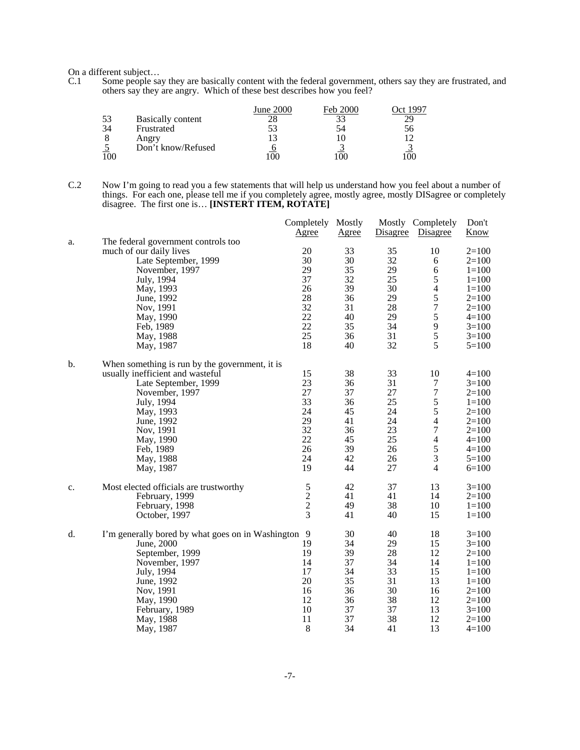On a different subject…

C.1 Some people say they are basically content with the federal government, others say they are frustrated, and others say they are angry. Which of these best describes how you feel?

|    |                          | June 2000 | <b>Feb 2000</b> |    |
|----|--------------------------|-----------|-----------------|----|
| 53 | <b>Basically content</b> |           |                 |    |
| 34 | Frustrated               |           |                 | эb |
|    | Angry                    |           |                 |    |
|    | Don't know/Refused       |           |                 |    |
|    |                          |           |                 |    |

C.2 Now I'm going to read you a few statements that will help us understand how you feel about a number of things. For each one, please tell me if you completely agree, mostly agree, mostly DISagree or completely disagree. The first one is… **[INSTERT ITEM, ROTATE]**

|       |                                                     | Completely Mostly<br><u>Agree</u>          | Agree | <b>Disagree</b> | Mostly Completely<br>Disagree | Don't<br>Know |
|-------|-----------------------------------------------------|--------------------------------------------|-------|-----------------|-------------------------------|---------------|
| a.    | The federal government controls too                 |                                            |       |                 |                               |               |
|       | much of our daily lives                             | 20                                         | 33    | 35              | 10                            | $2=100$       |
|       | Late September, 1999                                | 30                                         | 30    | 32              | 6                             | $2=100$       |
|       | November, 1997                                      | 29                                         | 35    | 29              | 6                             | $1 = 100$     |
|       | July, 1994                                          | 37                                         | 32    | 25              | $\mathfrak s$                 | $1 = 100$     |
|       | May, 1993                                           | 26                                         | 39    | 30              | $\overline{4}$                | $1 = 100$     |
|       | June, 1992                                          | 28                                         | 36    | 29              |                               | $2=100$       |
|       | Nov, 1991                                           | 32                                         | 31    | 28              | $\frac{5}{7}$                 | $2=100$       |
|       | May, 1990                                           | 22                                         | 40    | 29              | 5                             | $4 = 100$     |
|       | Feb, 1989                                           | 22                                         | 35    | 34              | 9                             | $3=100$       |
|       | May, 1988                                           | 25                                         | 36    | 31              | 5                             | $3=100$       |
|       | May, 1987                                           | 18                                         | 40    | 32              | 5                             | $5=100$       |
| $b$ . | When something is run by the government, it is      |                                            |       |                 |                               |               |
|       | usually inefficient and wasteful                    | 15                                         | 38    | 33              | 10                            | $4=100$       |
|       | Late September, 1999                                | 23                                         | 36    | 31              | $\tau$                        | $3=100$       |
|       | November, 1997                                      | 27                                         | 37    | 27              | $\boldsymbol{7}$              | $2=100$       |
|       | July, 1994                                          | 33                                         | 36    | 25              | 5                             | $1 = 100$     |
|       | May, 1993                                           | 24                                         | 45    | 24              | 5                             | $2=100$       |
|       | June, 1992                                          | 29                                         | 41    | 24              | $\overline{4}$                | $2=100$       |
|       | Nov. 1991                                           | 32                                         | 36    | 23              | $\boldsymbol{7}$              | $2=100$       |
|       | May, 1990                                           | 22                                         | 45    | 25              | $\overline{4}$                | $4 = 100$     |
|       | Feb, 1989                                           | 26                                         | 39    | 26              | 5                             | $4=100$       |
|       | May, 1988                                           | 24                                         | 42    | 26              | 3                             | $5=100$       |
|       | May, 1987                                           | 19                                         | 44    | 27              | $\overline{4}$                | $6=100$       |
| c.    | Most elected officials are trustworthy              | 5                                          | 42    | 37              | 13                            | $3=100$       |
|       | February, 1999                                      |                                            | 41    | 41              | 14                            | $2=100$       |
|       | February, 1998                                      | $\begin{array}{c} 2 \\ 2 \\ 3 \end{array}$ | 49    | 38              | 10                            | $1 = 100$     |
|       | October, 1997                                       |                                            | 41    | 40              | 15                            | $1 = 100$     |
| d.    | I'm generally bored by what goes on in Washington 9 |                                            | 30    | 40              | 18                            | $3=100$       |
|       | June, 2000                                          | 19                                         | 34    | 29              | 15                            | $3=100$       |
|       | September, 1999                                     | 19                                         | 39    | 28              | 12                            | $2=100$       |
|       | November, 1997                                      | 14                                         | 37    | 34              | 14                            | $1 = 100$     |
|       | July, 1994                                          | 17                                         | 34    | 33              | 15                            | $1 = 100$     |
|       | June, 1992                                          | 20                                         | 35    | 31              | 13                            | $1 = 100$     |
|       | Nov, 1991                                           | 16                                         | 36    | 30              | 16                            | $2=100$       |
|       | May, 1990                                           | 12                                         | 36    | 38              | 12                            | $2=100$       |
|       | February, 1989                                      | 10                                         | 37    | 37              | 13                            | $3=100$       |
|       | May, 1988                                           | 11                                         | 37    | 38              | 12                            | $2=100$       |
|       | May, 1987                                           | 8                                          | 34    | 41              | 13                            | $4 = 100$     |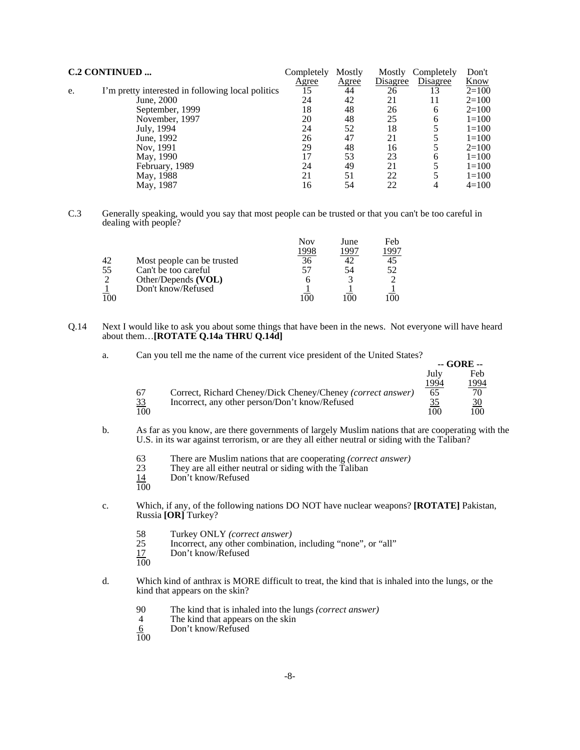| <b>C.2 CONTINUED </b> |                                                   | Completely   | Mostly       | Mostly   | Completely | Don't     |
|-----------------------|---------------------------------------------------|--------------|--------------|----------|------------|-----------|
|                       |                                                   | <u>Agree</u> | <u>Agree</u> | Disagree | Disagree   | Know      |
| e.                    | I'm pretty interested in following local politics | 15           | 44           | 26       |            | $2=100$   |
|                       | June, 2000                                        | 24           | 42           | 21       | 11         | $2=100$   |
|                       | September, 1999                                   | 18           | 48           | 26       | 6          | $2=100$   |
|                       | November, 1997                                    | 20           | 48           | 25       | 6          | $1 = 100$ |
|                       | July, 1994                                        | 24           | 52           | 18       |            | $1 = 100$ |
|                       | June, 1992                                        | 26           | 47           | 21       |            | $1=100$   |
|                       | Nov. 1991                                         | 29           | 48           | 16       |            | $2=100$   |
|                       | May, 1990                                         | 17           | 53           | 23       | 6          | $1=100$   |
|                       | February, 1989                                    | 24           | 49           | 21       |            | $1 = 100$ |
|                       | May, 1988                                         | 21           | 51           | 22       |            | $1=100$   |
|                       | May, 1987                                         | 16           | 54           | 22       |            | $4=100$   |

C.3 Generally speaking, would you say that most people can be trusted or that you can't be too careful in dealing with people?

|    |                            | Nov  | June  | Feb |
|----|----------------------------|------|-------|-----|
|    |                            | 1998 | 1 Q Q | QQ' |
| 42 | Most people can be trusted | 36   |       |     |
| 55 | Can't be too careful       | 57   | 54    | 52  |
|    | Other/Depends (VOL)        |      |       |     |
|    | Don't know/Refused         |      |       |     |
|    |                            |      |       |     |

- Q.14 Next I would like to ask you about some things that have been in the news. Not everyone will have heard about them…**[ROTATE Q.14a THRU Q.14d]**
	- a. Can you tell me the name of the current vice president of the United States?

|           |                                                             |      | -- GUKE --   |
|-----------|-------------------------------------------------------------|------|--------------|
|           |                                                             | July | Feb          |
|           |                                                             | 1994 | <u> 1994</u> |
| 67        | Correct, Richard Cheney/Dick Cheney/Cheney (correct answer) | 65   | 70           |
| <u>33</u> | Incorrect, any other person/Don't know/Refused              |      | <u>30</u>    |
| 100       |                                                             | 100  | 100          |

 $\alpha$ ope

- b. As far as you know, are there governments of largely Muslim nations that are cooperating with the U.S. in its war against terrorism, or are they all either neutral or siding with the Taliban?
	- 63 There are Muslim nations that are cooperating *(correct answer)*
	- They are all either neutral or siding with the Taliban
	- Don't know/Refused  $\frac{14}{100}$
	-
- c. Which, if any, of the following nations DO NOT have nuclear weapons? **[ROTATE]** Pakistan, Russia **[OR]** Turkey?
	- 58 Turkey ONLY *(correct answer)*
	- 25 Incorrect, any other combination, including "none", or "all"<br>17 Don't know/Refused
	- Don't know/Refused
	- 100
- d. Which kind of anthrax is MORE difficult to treat, the kind that is inhaled into the lungs, or the kind that appears on the skin?
	- 90 The kind that is inhaled into the lungs *(correct answer)*
	- The kind that appears on the skin
	- Don't know/Refused  $rac{6}{100}$
	-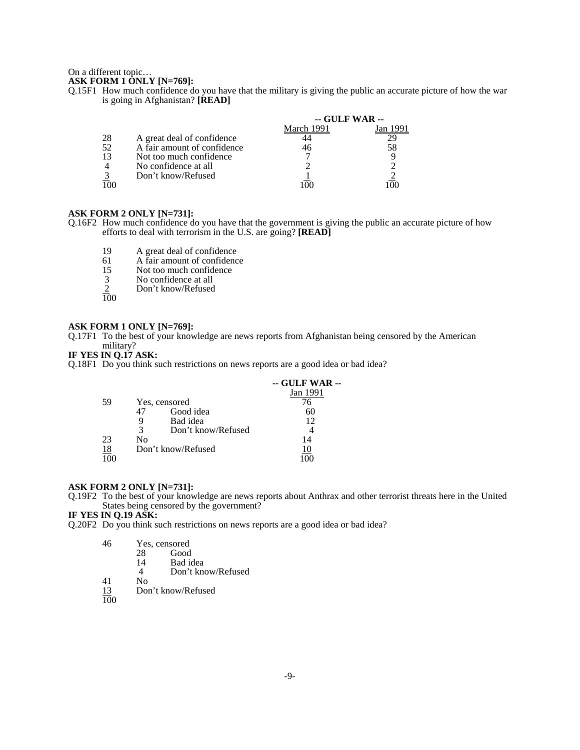#### On a different topic…

## **ASK FORM 1 ONLY [N=769]:**

Q.15F1 How much confidence do you have that the military is giving the public an accurate picture of how the war is going in Afghanistan? **[READ]**

|    |                             | -- GULF WAR -- |          |  |
|----|-----------------------------|----------------|----------|--|
|    |                             | March 1991     | Jan 1991 |  |
| 28 | A great deal of confidence  |                |          |  |
| 52 | A fair amount of confidence | 46             | 58       |  |
| 13 | Not too much confidence     |                |          |  |
|    | No confidence at all        |                |          |  |
|    | Don't know/Refused          |                |          |  |
|    |                             |                |          |  |

### **ASK FORM 2 ONLY [N=731]:**

- Q.16F2 How much confidence do you have that the government is giving the public an accurate picture of how efforts to deal with terrorism in the U.S. are going? **[READ]**
	- 19 A great deal of confidence<br>61 A fair amount of confidence
	- 61 A fair amount of confidence<br>15 Not too much confidence
	- 15 Not too much confidence<br>
	3 No confidence at all<br>
	2 Don't know/Refused
	- No confidence at all
	- Don't know/Refused
	- $\frac{1}{100}$

#### **ASK FORM 1 ONLY [N=769]:**

Q.17F1 To the best of your knowledge are news reports from Afghanistan being censored by the American military?

## **IF YES IN Q.17 ASK:**

Q.18F1 Do you think such restrictions on news reports are a good idea or bad idea?

|           |                         | -- GULF WAR -- |
|-----------|-------------------------|----------------|
|           |                         | Jan 1991       |
| 59        | Yes, censored           |                |
|           | Good idea               | 60             |
|           | Bad idea<br>9           | 12             |
|           | 3<br>Don't know/Refused |                |
| 23        | No                      | 14             |
| <u>18</u> | Don't know/Refused      |                |
|           |                         |                |

#### **ASK FORM 2 ONLY [N=731]:**

Q.19F2 To the best of your knowledge are news reports about Anthrax and other terrorist threats here in the United States being censored by the government?

## **IF YES IN Q.19 ASK:**

Q.20F2 Do you think such restrictions on news reports are a good idea or bad idea?

| 46         | Yes, censored |                    |  |
|------------|---------------|--------------------|--|
|            | 28            | Good               |  |
|            | 14            | Bad idea           |  |
|            |               | Don't know/Refused |  |
| $\Delta$ 1 | N٥            |                    |  |

- Don't know/Refused
- $\frac{13}{100}$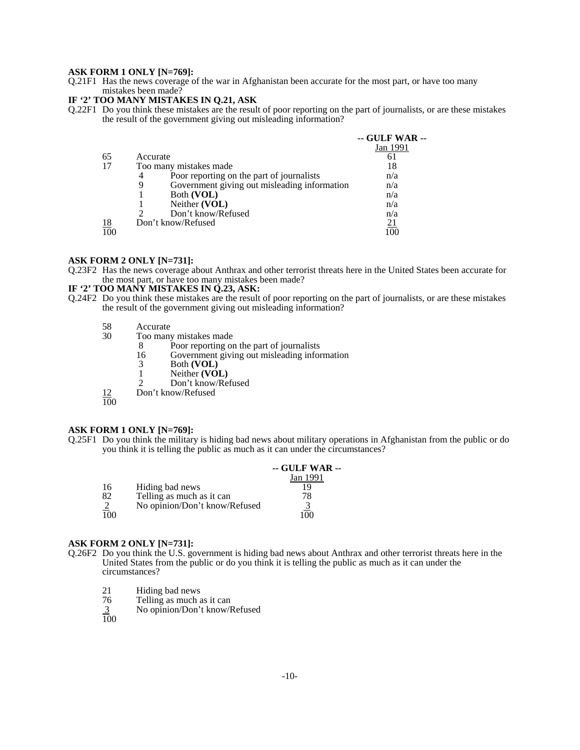#### **ASK FORM 1 ONLY [N=769]:**

Q.21F1 Has the news coverage of the war in Afghanistan been accurate for the most part, or have too many mistakes been made?

## **IF '2' TOO MANY MISTAKES IN Q.21, ASK**

Q.22F1 Do you think these mistakes are the result of poor reporting on the part of journalists, or are these mistakes the result of the government giving out misleading information?

|                  |                                                   | -- GULF WAR -- |
|------------------|---------------------------------------------------|----------------|
|                  |                                                   | Jan 1991       |
| 65               | Accurate                                          |                |
| 17               | Too many mistakes made                            | 18             |
|                  | Poor reporting on the part of journalists<br>4    | n/a            |
|                  | Government giving out misleading information<br>9 | n/a            |
|                  | Both (VOL)                                        | n/a            |
|                  | Neither (VOL)                                     | n/a            |
|                  | Don't know/Refused                                | n/a            |
|                  | Don't know/Refused                                | 21             |
| $\frac{18}{100}$ |                                                   |                |

### **ASK FORM 2 ONLY [N=731]:**

Q.23F2 Has the news coverage about Anthrax and other terrorist threats here in the United States been accurate for the most part, or have too many mistakes been made?

## **IF '2' TOO MANY MISTAKES IN Q.23, ASK:**

- Q.24F2 Do you think these mistakes are the result of poor reporting on the part of journalists, or are these mistakes the result of the government giving out misleading information?
	- 58 Accurate<br>30 Too many
		- Too many mistakes made<br>8 Poor reporting or
			- 8 Poor reporting on the part of journalists<br>16 Government giving out misleading information
			- 16 Government giving out misleading information<br>3 Both (VOL)
			- 3 Both **(VOL)**
			- 1 Neither **(VOL)**<br>2 Don't know/Re
			- Don't know/Refused
	- 12 Don't know/Refused

 $\frac{1}{100}$ 

#### **ASK FORM 1 ONLY [N=769]:**

Q.25F1 Do you think the military is hiding bad news about military operations in Afghanistan from the public or do you think it is telling the public as much as it can under the circumstances?

|                  |                               | $-$ GULF WAR $-$ |
|------------------|-------------------------------|------------------|
|                  |                               | Jan 1991         |
| 16               | Hiding bad news               | 19               |
| 82               | Telling as much as it can     | 78               |
|                  | No opinion/Don't know/Refused |                  |
| $\overline{100}$ |                               | 1 በበ             |

#### **ASK FORM 2 ONLY [N=731]:**

- Q.26F2 Do you think the U.S. government is hiding bad news about Anthrax and other terrorist threats here in the United States from the public or do you think it is telling the public as much as it can under the circumstances?
	- 21 Hiding bad news<br>76 Telling as much a
	- 76 Telling as much as it can
	- No opinion/Don't know/Refused  $\frac{3}{100}$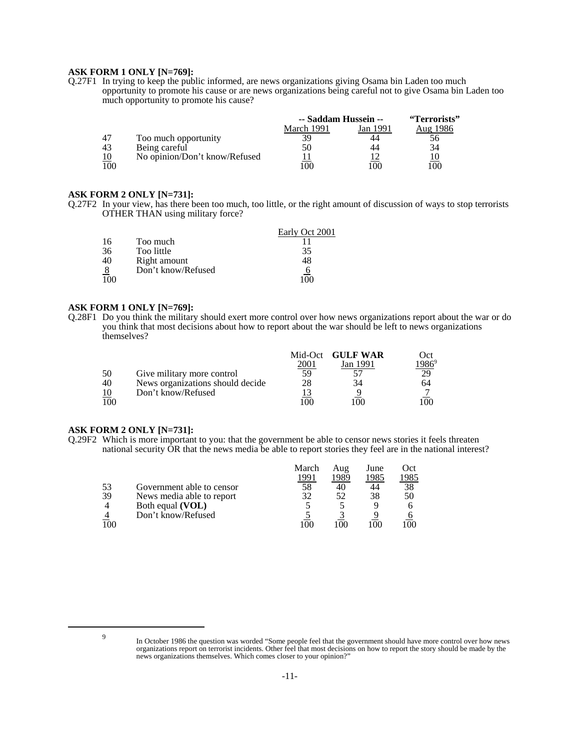### **ASK FORM 1 ONLY [N=769]:**

Q.27F1 In trying to keep the public informed, are news organizations giving Osama bin Laden too much opportunity to promote his cause or are news organizations being careful not to give Osama bin Laden too much opportunity to promote his cause?

|     |                               | -- Saddam Hussein -- |          | "Terrorists" |  |
|-----|-------------------------------|----------------------|----------|--------------|--|
|     |                               | March 1991           | Jan 1991 | Aug 1986     |  |
| 47  | Too much opportunity          |                      |          |              |  |
| 43  | Being careful                 | 50                   | 44       | 34           |  |
|     | No opinion/Don't know/Refused |                      |          |              |  |
| 100 |                               | 100.                 | ഥ        | 00           |  |

## **ASK FORM 2 ONLY [N=731]:**

Q.27F2 In your view, has there been too much, too little, or the right amount of discussion of ways to stop terrorists OTHER THAN using military force?

|    |                    | Early Oct 2001 |
|----|--------------------|----------------|
| 16 | Too much           |                |
| 36 | Too little         | 35             |
| 40 | Right amount       | 48             |
|    | Don't know/Refused |                |
|    |                    |                |

## **ASK FORM 1 ONLY [N=769]:**

Q.28F1 Do you think the military should exert more control over how news organizations report about the war or do you think that most decisions about how to report about the war should be left to news organizations themselves?

|     |                                  |      | Mid-Oct GULF WAR | Oct     |
|-----|----------------------------------|------|------------------|---------|
|     |                                  | 2001 | Jan 1991         | $986^9$ |
| 50  | Give military more control       | 59   |                  |         |
| 40  | News organizations should decide | 28   |                  | 64      |
| 10  | Don't know/Refused               |      |                  |         |
| 100 |                                  | oc   | M                | 00      |

#### **ASK FORM 2 ONLY [N=731]:**

Q.29F2 Which is more important to you: that the government be able to censor news stories it feels threaten national security OR that the news media be able to report stories they feel are in the national interest?

|     |                           | March | Aug  | June | Oct      |
|-----|---------------------------|-------|------|------|----------|
|     |                           | 1991  | 1989 | 1985 | !985     |
| 53  | Government able to censor | 58    | 40   | 44   | 38       |
| 39  | News media able to report | 32    | 52   | 38   | 50       |
|     | Both equal (VOL)          |       |      |      |          |
|     | Don't know/Refused        |       |      |      |          |
| 100 |                           | 100   | 100  | (1)  | $($ $)($ |

<sup>9</sup> In October 1986 the question was worded "Some people feel that the government should have more control over how news organizations report on terrorist incidents. Other feel that most decisions on how to report the story should be made by the news organizations themselves. Which comes closer to your opinion?"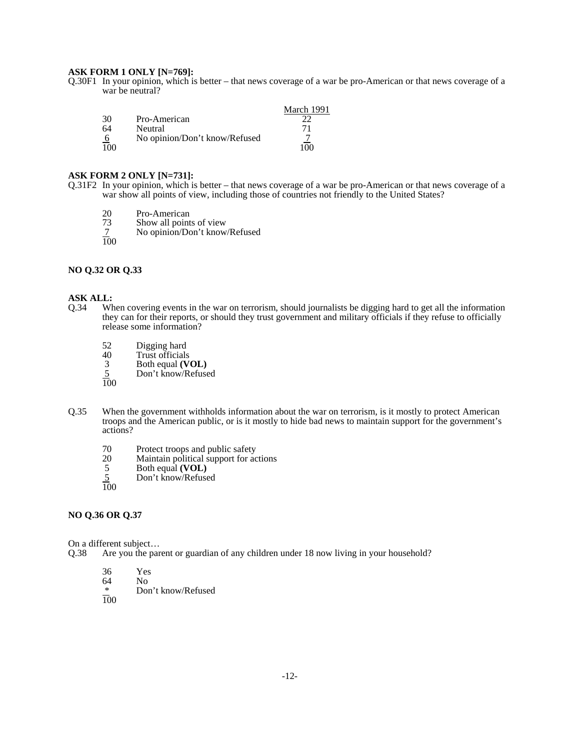### **ASK FORM 1 ONLY [N=769]:**

Q.30F1 In your opinion, which is better – that news coverage of a war be pro-American or that news coverage of a war be neutral?

|                 |                               | March 1991 |
|-----------------|-------------------------------|------------|
| 30              | Pro-American                  |            |
| 64              | Neutral                       | 71         |
| $6\overline{6}$ | No opinion/Don't know/Refused |            |
| 100             |                               | ഥറ         |

#### **ASK FORM 2 ONLY [N=731]:**

Q.31F2 In your opinion, which is better – that news coverage of a war be pro-American or that news coverage of a war show all points of view, including those of countries not friendly to the United States?

- 20 Pro-American<br>73 Show all point
- 73 Show all points of view<br>7 No opinion/Don't know.
- No opinion/Don't know/Refused
- 100

## **NO Q.32 OR Q.33**

# **ASK ALL:**<br>Q.34 Wh

- When covering events in the war on terrorism, should journalists be digging hard to get all the information they can for their reports, or should they trust government and military officials if they refuse to officially release some information?
	- 52 Digging hard<br>40 Trust officials
	- 40 Trust officials<br>3 Both equal (V
	- 3 Both equal **(VOL)**
	- Don't know/Refused  $\frac{5}{100}$
	-
- Q.35 When the government withholds information about the war on terrorism, is it mostly to protect American troops and the American public, or is it mostly to hide bad news to maintain support for the government's actions?
	- 70 Protect troops and public safety<br>20 Maintain political support for ac
	- 20 Maintain political support for actions<br>5 Both equal (VOL)
	- 5 Both equal **(VOL)**
	- 5 Don't know/Refused
	- $rac{5}{100}$

## **NO Q.36 OR Q.37**

On a different subject...<br>Q.38 Are you the par

Are you the parent or guardian of any children under 18 now living in your household?

- 36 Yes
- $64$  No<br>\* Dor
- Don't know/Refused
- 100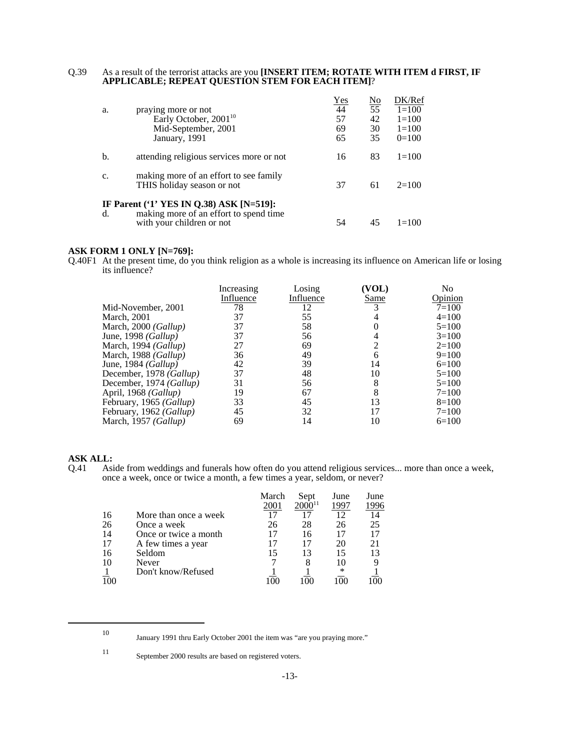#### Q.39 As a result of the terrorist attacks are you **[INSERT ITEM; ROTATE WITH ITEM d FIRST, IF APPLICABLE; REPEAT QUESTION STEM FOR EACH ITEM]**?

|    |                                                                      | Yes | No | DK/Ref    |
|----|----------------------------------------------------------------------|-----|----|-----------|
| a. | praying more or not                                                  | 44  | 55 | $1 = 100$ |
|    | Early October, 2001 <sup>10</sup>                                    | 57  | 42 | $1 = 100$ |
|    | Mid-September, 2001                                                  | 69  | 30 | $1=100$   |
|    | January, 1991                                                        | 65  | 35 | $0=100$   |
| b. | attending religious services more or not                             | 16  | 83 | $1 = 100$ |
| c. | making more of an effort to see family<br>THIS holiday season or not | 37  | 61 | $2=100$   |
|    | IF Parent ('1' YES IN Q.38) ASK [N=519]:                             |     |    |           |
| d. | making more of an effort to spend time<br>with your children or not  | 54  |    | $1=100$   |

## **ASK FORM 1 ONLY [N=769]:**

Q.40F1 At the present time, do you think religion as a whole is increasing its influence on American life or losing its influence?

|                               | Increasing<br>Influence | Losing<br>Influence | (VOL)<br>Same | No<br>Opinion |
|-------------------------------|-------------------------|---------------------|---------------|---------------|
| Mid-November, 2001            | 78                      | 12                  | 3             | $7 = 100$     |
| March, 2001                   | 37                      | 55                  |               | $4=100$       |
| March, 2000 ( <i>Gallup</i> ) | 37                      | 58                  |               | $5=100$       |
| June, 1998 <i>(Gallup)</i>    | 37                      | 56                  |               | $3=100$       |
| March, 1994 <i>(Gallup)</i>   | 27                      | 69                  | 2             | $2=100$       |
| March, 1988 ( <i>Gallup</i> ) | 36                      | 49                  | 6             | $9=100$       |
| June, 1984 (Gallup)           | 42                      | 39                  | 14            | $6=100$       |
| December, 1978 (Gallup)       | 37                      | 48                  | 10            | $5=100$       |
| December, 1974 (Gallup)       | 31                      | 56                  | 8             | $5=100$       |
| April, 1968 ( <i>Gallup</i> ) | 19                      | 67                  | 8             | $7 = 100$     |
| February, 1965 (Gallup)       | 33                      | 45                  | 13            | $8=100$       |
| February, 1962 (Gallup)       | 45                      | 32                  | 17            | $7 = 100$     |
| March, 1957 ( <i>Gallup</i> ) | 69                      | 14                  | 10            | $6=100$       |
|                               |                         |                     |               |               |

# **ASK ALL:**<br>Q.41 Asi

Aside from weddings and funerals how often do you attend religious services... more than once a week, once a week, once or twice a month, a few times a year, seldom, or never?

|    |                       | March | Sept        | June | June |
|----|-----------------------|-------|-------------|------|------|
|    |                       | 2001  | $2000^{11}$ | 1997 | 1996 |
| 16 | More than once a week |       | 17          | 12   | 14   |
| 26 | Once a week           | 26    | 28          | 26   | 25   |
| 14 | Once or twice a month |       | 16          |      | 17   |
| 17 | A few times a year    |       | 17          | 20   | 21   |
| 16 | Seldom                |       | 13          | 15   | 13   |
| 10 | Never                 |       | 8           | 10   |      |
|    | Don't know/Refused    |       |             | ∗    |      |
|    |                       |       |             |      |      |

<sup>10</sup> January 1991 thru Early October 2001 the item was "are you praying more."

<sup>11</sup> September 2000 results are based on registered voters.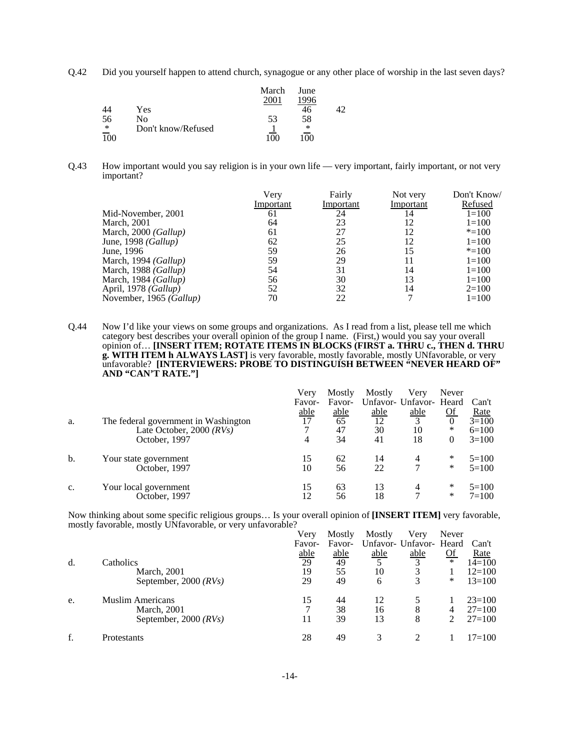Q.42 Did you yourself happen to attend church, synagogue or any other place of worship in the last seven days?

|     |                    | March | June |    |
|-----|--------------------|-------|------|----|
|     |                    |       |      |    |
| 44  | Yes.               |       |      | 12 |
| 56  | No                 | 53    | 58   |    |
| ∗   | Don't know/Refused |       | ∗    |    |
| 100 |                    |       | (1)  |    |

Q.43 How important would you say religion is in your own life — very important, fairly important, or not very important?

|                         | Very      | Fairly    | Not very  | Don't Know/ |
|-------------------------|-----------|-----------|-----------|-------------|
|                         | Important | Important | Important | Refused     |
| Mid-November, 2001      | 61        | 24        | 14        | $1=100$     |
| <b>March</b> , 2001     | 64        | 23        | 12        | $1 = 100$   |
| March, 2000 (Gallup)    | 61        | 27        | 12        | $* = 100$   |
| June, 1998 (Gallup)     | 62        | 25        | 12        | $1 = 100$   |
| June, 1996              | 59        | 26        | 15        | $* = 100$   |
| March, 1994 (Gallup)    | 59        | 29        | 11        | $1 = 100$   |
| March, 1988 (Gallup)    | 54        | 31        | 14        | $1 = 100$   |
| March, 1984 (Gallup)    | 56        | 30        | 13        | $1 = 100$   |
| April, 1978 (Gallup)    | 52        | 32        | 14        | $2=100$     |
| November, 1965 (Gallup) | 70        | 22        |           | $1 = 100$   |

Q.44 Now I'd like your views on some groups and organizations. As I read from a list, please tell me which category best describes your overall opinion of the group I name. (First,) would you say your overall opinion of… **[INSERT ITEM; ROTATE ITEMS IN BLOCKS (FIRST a. THRU c., THEN d. THRU g. WITH ITEM h ALWAYS LAST]** is very favorable, mostly favorable, mostly UNfavorable, or very unfavorable? **[INTERVIEWERS: PROBE TO DISTINGUISH BETWEEN "NEVER HEARD OF" AND "CAN'T RATE."]**

|    |                                      | Verv        | Mostly      | Mostly | Verv                    | Never          |           |
|----|--------------------------------------|-------------|-------------|--------|-------------------------|----------------|-----------|
|    |                                      | Favor-      | Favor-      |        | Unfavor- Unfavor- Heard |                | Can't     |
|    |                                      | <u>able</u> | <u>able</u> | able   | able                    | <u>Of</u>      | Rate      |
| a. | The federal government in Washington | 17          | 65          | 12     | $\mathbf{R}$            | $\overline{0}$ | $3=100$   |
|    | Late October, $2000$ ( $RVs$ )       |             | 47          | 30     | 10                      | *              | $6=100$   |
|    | October, 1997                        | 4           | 34          | 41     | 18                      | 0              | $3=100$   |
| b. | Your state government                | 15          | 62          | 14     | 4                       | *              | $5=100$   |
|    | October, 1997                        | 10          | 56          | 22     |                         | ∗              | $5=100$   |
| c. | Your local government                | 15          | 63          | 13     | 4                       | *              | $5=100$   |
|    | October, 1997                        | 12          | 56          | 18     |                         | *              | $7 = 100$ |

Now thinking about some specific religious groups… Is your overall opinion of **[INSERT ITEM]** very favorable, mostly favorable, mostly UNfavorable, or very unfavorable?

|    |                         | Very              | Mostly | Mostly | Very                    | Never            |            |
|----|-------------------------|-------------------|--------|--------|-------------------------|------------------|------------|
|    |                         | Favor-            | Favor- |        | Unfavor- Unfavor- Heard |                  | Can't      |
|    |                         | $\frac{able}{29}$ | able   | able   | able                    | $\underline{Of}$ | Rate       |
| d. | Catholics               |                   | 49     |        | $\mathbf{z}$            | $\ast$           | $14=100$   |
|    | March, 2001             | 19                | 55     | 10     |                         |                  | $12=100$   |
|    | September, 2000 $(RVs)$ | 29                | 49     | 6      |                         | ∗                | $13 = 100$ |
| e. | <b>Muslim Americans</b> | 15                | 44     | 12     |                         |                  | $23=100$   |
|    | <b>March</b> , 2001     |                   | 38     | 16     | 8                       | 4                | $27 = 100$ |
|    | September, 2000 $(RVs)$ | 11                | 39     | 13     | 8                       |                  | $27 = 100$ |
| f. | Protestants             | 28                | 49     | 3      |                         |                  | $17 = 100$ |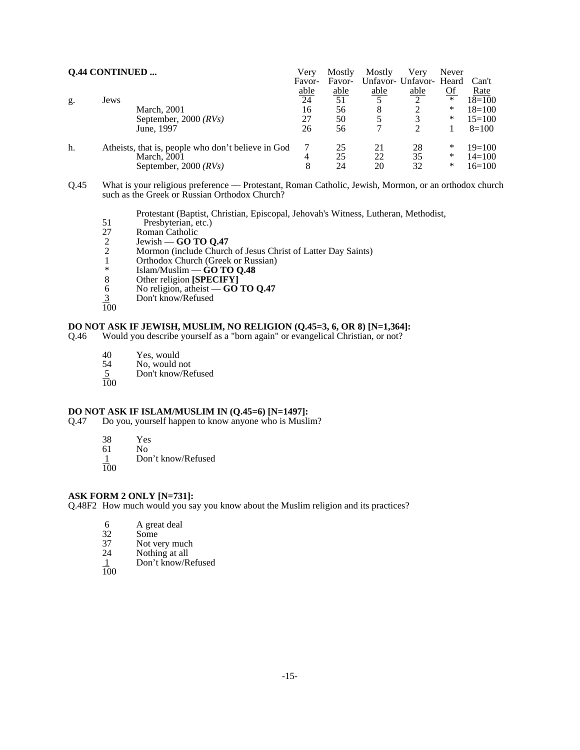| <b>Q.44 CONTINUED </b> |                                                    | Very            | Mostly | Mostly | Verv                    | Never     |            |
|------------------------|----------------------------------------------------|-----------------|--------|--------|-------------------------|-----------|------------|
|                        |                                                    | Favor-          | Favor- |        | Unfavor- Unfavor- Heard |           | Can't      |
|                        |                                                    | <u>able</u>     | able   | able   | able                    | <u>Of</u> | Rate       |
| g.                     | Jews                                               | $\overline{24}$ | 51     |        |                         | $\ast$    | $18=100$   |
|                        | March, 2001                                        | 16              | 56     | 8      |                         | *         | $18=100$   |
|                        | September, 2000 $(RVs)$                            | 27              | 50     |        |                         | *         | $15=100$   |
|                        | June, 1997                                         | 26              | 56     |        |                         |           | $8=100$    |
| h.                     | Atheists, that is, people who don't believe in God |                 | 25     | 21     | 28                      | ∗         | $19=100$   |
|                        | <b>March</b> , 2001                                | 4               | 25     | 22     | 35                      | *         | $14 = 100$ |
|                        | September, 2000 $(RVs)$                            | 8               | 24     | 20     | 32                      | $\ast$    | $16=100$   |

Q.45 What is your religious preference — Protestant, Roman Catholic, Jewish, Mormon, or an orthodox church such as the Greek or Russian Orthodox Church?

Protestant (Baptist, Christian, Episcopal, Jehovah's Witness, Lutheran, Methodist,

- 51 Presbyterian, etc.)<br>27 Roman Catholic
- 
- 2 Jewish **GO TO Q.47**
- 27 Roman Catholic<br>
2 Jewish **GO T**<br>
2 Mormon (include 2 Mormon (include Church of Jesus Christ of Latter Day Saints)<br>1 Orthodox Church (Greek or Russian)
- 1 Orthodox Church (Greek or Russian)<br>  $*$  Islam/Muslim **CO TO O 48**
- \* Islam/Muslim **GO TO Q.48**
- 8 Other religion **[SPECIFY]**
- 6 No religion, atheist **GO TO Q.47**
- Don't know/Refused  $\frac{3}{100}$
- 

### **DO NOT ASK IF JEWISH, MUSLIM, NO RELIGION (Q.45=3, 6, OR 8) [N=1,364]:**

Q.46 Would you describe yourself as a "born again" or evangelical Christian, or not?

- 40 Yes, would<br>54 No, would n
- No, would not
- 5 Don't know/Refused  $\frac{5}{100}$
- 

# **DO NOT ASK IF ISLAM/MUSLIM IN (Q.45=6) [N=1497]:**<br>Q.47 Do you, yourself happen to know anyone who is Musli

- Do you, yourself happen to know anyone who is Muslim?
	-
	- 38 Yes
	- 61 No<br><u>1</u> Doi Don't know/Refused
	- 100

## **ASK FORM 2 ONLY [N=731]:**

Q.48F2 How much would you say you know about the Muslim religion and its practices?

- 6 A great deal<br>32 Some
- 32 Some<br>37 Not ve
- 37 Not very much<br>24 Nothing at all
- 24 Nothing at all<br>1 Don't know/R
- Don't know/Refused
- 100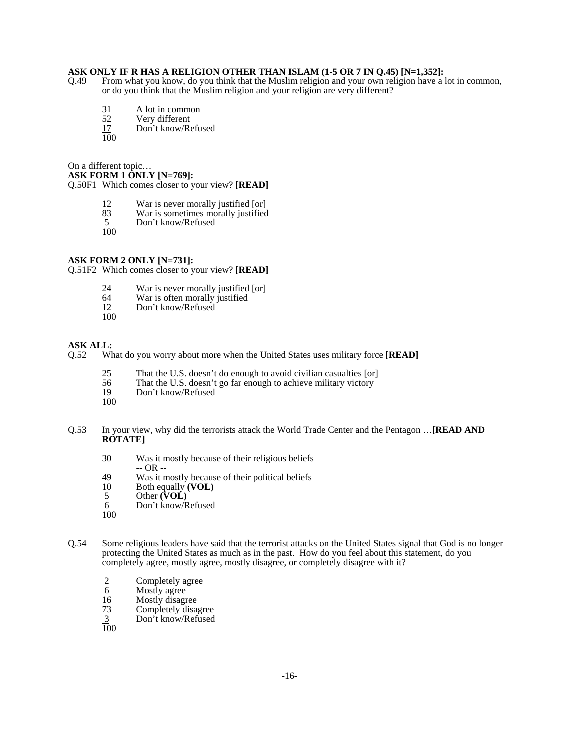## **ASK ONLY IF R HAS A RELIGION OTHER THAN ISLAM (1-5 OR 7 IN Q.45) [N=1,352]:**

- Q.49 From what you know, do you think that the Muslim religion and your own religion have a lot in common, or do you think that the Muslim religion and your religion are very different?
	- 31 A lot in common<br>52 Very different
	-
	- 52 Very different<br>17 Don't know/Re Don't know/Refused
	- 100

On a different topic…

**ASK FORM 1 ONLY [N=769]:**

Q.50F1 Which comes closer to your view? **[READ]**

- 12 War is never morally justified [or]<br>83 War is sometimes morally justified
- War is sometimes morally justified
- 5 Don't know/Refused  $rac{5}{100}$
- 

## **ASK FORM 2 ONLY [N=731]:**

Q.51F2 Which comes closer to your view? **[READ]**

- 24 War is never morally justified [or]<br>64 War is often morally justified
- War is often morally justified
- Don't know/Refused  $\frac{12}{100}$
- 

# **ASK ALL:**<br>Q.52 Wl

What do you worry about more when the United States uses military force [READ]

- 
- 25 That the U.S. doesn't do enough to avoid civilian casualties [or]<br>56 That the U.S. doesn't go far enough to achieve military victory 56 That the U.S. doesn't go far enough to achieve military victory<br>19 Don't know/Refused
- Don't know/Refused
- 100
- Q.53 In your view, why did the terrorists attack the World Trade Center and the Pentagon …**[READ AND ROTATE]**
	- 30 Was it mostly because of their religious beliefs -- OR --
	- 49 Was it mostly because of their political beliefs  $10$  Both equally (VOL)
	- 10 Both equally **(VOL)**<br>5 Other **(VOL)**
	- 5 Other **(VOL)**<br>6 Don't know/F
	- Don't know/Refused
	- 100
- Q.54 Some religious leaders have said that the terrorist attacks on the United States signal that God is no longer protecting the United States as much as in the past. How do you feel about this statement, do you completely agree, mostly agree, mostly disagree, or completely disagree with it?
	- 2 Completely agree<br>6 Mostly agree
	- 6 Mostly agree<br>16 Mostly disagr
	- 16 Mostly disagree<br>
	73 Completely disa
	- 73 Completely disagree<br>
	2 Don't know/Refused
	- Don't know/Refused
	- 100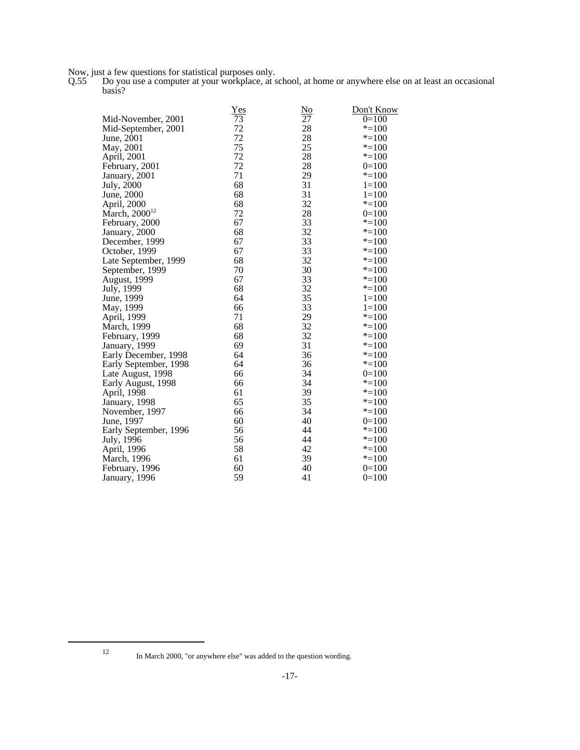Now, just a few questions for statistical purposes only.

Q.55 Do you use a computer at your workplace, at school, at home or anywhere else on at least an occasional basis?

|                           | <u>Yes</u> | $\underline{\mathrm{No}}$ | Don't Know |
|---------------------------|------------|---------------------------|------------|
| Mid-November, 2001        | 73         | 27                        | $0=100$    |
| Mid-September, 2001       | 72         | 28                        | $* = 100$  |
| June, 2001                | 72         | 28                        | $* = 100$  |
| May, 2001                 | 75         | 25                        | $* = 100$  |
| April, 2001               | 72         | 28                        | $* = 100$  |
| February, 2001            | 72         | 28                        | $0=100$    |
| January, 2001             | 71         | 29                        | $* = 100$  |
| July, 2000                | 68         | 31                        | $1 = 100$  |
| June, 2000                | 68         | 31                        | $1 = 100$  |
| April, 2000               | 68         | 32                        | $* = 100$  |
| March, 2000 <sup>12</sup> | 72         | 28                        | $0=100$    |
| February, 2000            | 67         | 33                        | $* = 100$  |
| January, 2000             | 68         | 32                        | $* = 100$  |
| December, 1999            | 67         | 33                        | $* = 100$  |
| October, 1999             | 67         | 33                        | $* = 100$  |
| Late September, 1999      | 68         | 32                        | $* = 100$  |
| September, 1999           | 70         | 30                        | $* = 100$  |
| August, 1999              | 67         | 33                        | $* = 100$  |
| July, 1999                | 68         | 32                        | $* = 100$  |
| June, 1999                | 64         | 35                        | $1=100$    |
| May, 1999                 | 66         | 33                        | $1=100$    |
| April, 1999               | 71         | 29                        | $* = 100$  |
| March, 1999               | 68         | 32                        | $* = 100$  |
| February, 1999            | 68         | 32                        | $* = 100$  |
| January, 1999             | 69         | 31                        | $* = 100$  |
| Early December, 1998      | 64         | 36                        | $* = 100$  |
| Early September, 1998     | 64         | 36                        | $* = 100$  |
| Late August, 1998         | 66         | 34                        | $0=100$    |
| Early August, 1998        | 66         | 34                        | $* = 100$  |
| April, 1998               | 61         | 39                        | $* = 100$  |
| January, 1998             | 65         | 35                        | $* = 100$  |
| November, 1997            | 66         | 34                        | $* = 100$  |
| June, 1997                | 60         | 40                        | $0=100$    |
| Early September, 1996     | 56         | 44                        | $* = 100$  |
| July, 1996                | 56         | 44                        | $* = 100$  |
| April, 1996               | 58         | 42                        | $* = 100$  |
| March, 1996               | 61         | 39                        | $* = 100$  |
| February, 1996            | 60         | 40                        | $0=100$    |
| January, 1996             | 59         | 41                        | $0=100$    |

<sup>12</sup> In March 2000, "or anywhere else" was added to the question wording.